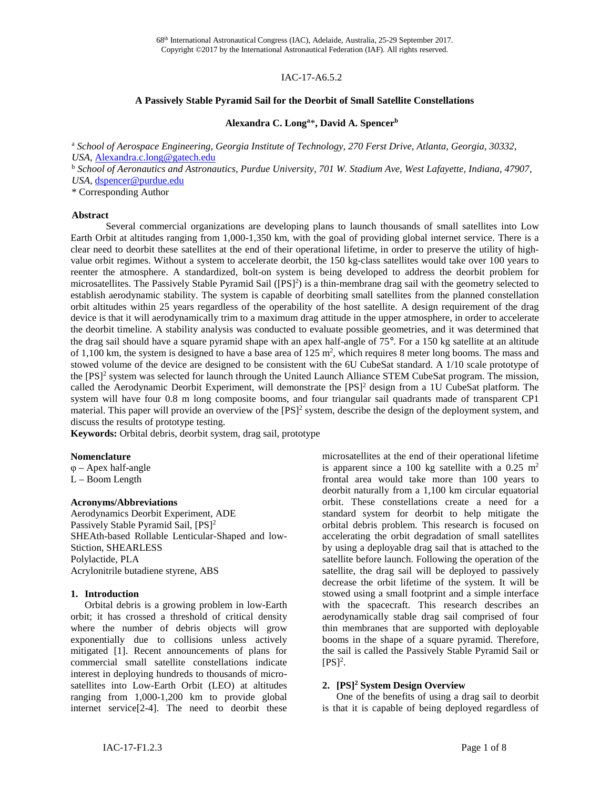### IAC-17-A6.5.2

#### **A Passively Stable Pyramid Sail for the Deorbit of Small Satellite Constellations**

### **Alexandra C. Longa** \***, David A. Spencerb**

<sup>a</sup> *School of Aerospace Engineering, Georgia Institute of Technology, 270 Ferst Drive, Atlanta, Georgia, 30332, USA,* [Alexandra.c.long@gatech.edu](mailto:Alexandra.c.long@gatech.edu)

<sup>b</sup> *School of Aeronautics and Astronautics, Purdue University, 701 W. Stadium Ave, West Lafayette, Indiana, 47907, USA,* [dspencer@purdue.edu](mailto:dspencer@purdue.edu)

\* Corresponding Author

#### **Abstract**

Several commercial organizations are developing plans to launch thousands of small satellites into Low Earth Orbit at altitudes ranging from 1,000-1,350 km, with the goal of providing global internet service. There is a clear need to deorbit these satellites at the end of their operational lifetime, in order to preserve the utility of highvalue orbit regimes. Without a system to accelerate deorbit, the 150 kg-class satellites would take over 100 years to reenter the atmosphere. A standardized, bolt-on system is being developed to address the deorbit problem for microsatellites. The Passively Stable Pyramid Sail ([PS]<sup>2</sup>) is a thin-membrane drag sail with the geometry selected to establish aerodynamic stability. The system is capable of deorbiting small satellites from the planned constellation orbit altitudes within 25 years regardless of the operability of the host satellite. A design requirement of the drag device is that it will aerodynamically trim to a maximum drag attitude in the upper atmosphere, in order to accelerate the deorbit timeline. A stability analysis was conducted to evaluate possible geometries, and it was determined that the drag sail should have a square pyramid shape with an apex half-angle of 75°. For a 150 kg satellite at an altitude of 1,100 km, the system is designed to have a base area of  $125 \text{ m}^2$ , which requires 8 meter long booms. The mass and stowed volume of the device are designed to be consistent with the 6U CubeSat standard. A 1/10 scale prototype of the [PS]<sup>2</sup> system was selected for launch through the United Launch Alliance STEM CubeSat program. The mission, called the Aerodynamic Deorbit Experiment, will demonstrate the [PS]<sup>2</sup> design from a 1U CubeSat platform. The system will have four 0.8 m long composite booms, and four triangular sail quadrants made of transparent CP1 material. This paper will provide an overview of the [PS]<sup>2</sup> system, describe the design of the deployment system, and discuss the results of prototype testing.

**Keywords:** Orbital debris, deorbit system, drag sail, prototype

#### **Nomenclature**

φ – Apex half-angle L – Boom Length

#### **Acronyms/Abbreviations**

Aerodynamics Deorbit Experiment, ADE Passively Stable Pyramid Sail, [PS]<sup>2</sup> SHEAth-based Rollable Lenticular-Shaped and low-Stiction, SHEARLESS Polylactide, PLA Acrylonitrile butadiene styrene, ABS

#### **1. Introduction**

Orbital debris is a growing problem in low-Earth orbit; it has crossed a threshold of critical density where the number of debris objects will grow exponentially due to collisions unless actively mitigated [1]. Recent announcements of plans for commercial small satellite constellations indicate interest in deploying hundreds to thousands of microsatellites into Low-Earth Orbit (LEO) at altitudes ranging from 1,000-1,200 km to provide global internet service[2-4]. The need to deorbit these microsatellites at the end of their operational lifetime is apparent since a 100 kg satellite with a 0.25  $m<sup>2</sup>$ frontal area would take more than 100 years to deorbit naturally from a 1,100 km circular equatorial orbit. These constellations create a need for a standard system for deorbit to help mitigate the orbital debris problem. This research is focused on accelerating the orbit degradation of small satellites by using a deployable drag sail that is attached to the satellite before launch. Following the operation of the satellite, the drag sail will be deployed to passively decrease the orbit lifetime of the system. It will be stowed using a small footprint and a simple interface with the spacecraft. This research describes an aerodynamically stable drag sail comprised of four thin membranes that are supported with deployable booms in the shape of a square pyramid. Therefore, the sail is called the Passively Stable Pyramid Sail or  $[PS]^2$ .

### **2. [PS]2 System Design Overview**

One of the benefits of using a drag sail to deorbit is that it is capable of being deployed regardless of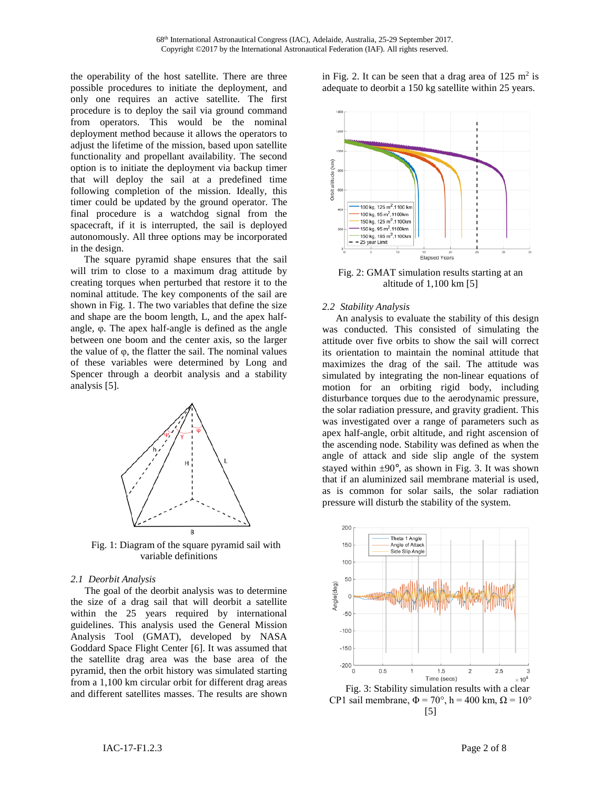the operability of the host satellite. There are three possible procedures to initiate the deployment, and only one requires an active satellite. The first procedure is to deploy the sail via ground command from operators. This would be the nominal deployment method because it allows the operators to adjust the lifetime of the mission, based upon satellite functionality and propellant availability. The second option is to initiate the deployment via backup timer that will deploy the sail at a predefined time following completion of the mission. Ideally, this timer could be updated by the ground operator. The final procedure is a watchdog signal from the spacecraft, if it is interrupted, the sail is deployed autonomously. All three options may be incorporated in the design.

The square pyramid shape ensures that the sail will trim to close to a maximum drag attitude by creating torques when perturbed that restore it to the nominal attitude. The key components of the sail are shown in [Fig.](#page-1-0) 1. The two variables that define the size and shape are the boom length, L, and the apex halfangle, φ. The apex half-angle is defined as the angle between one boom and the center axis, so the larger the value of  $φ$ , the flatter the sail. The nominal values of these variables were determined by Long and Spencer through a deorbit analysis and a stability analysis [5].



<span id="page-1-0"></span>Fig. 1: Diagram of the square pyramid sail with variable definitions

#### *2.1 Deorbit Analysis*

The goal of the deorbit analysis was to determine the size of a drag sail that will deorbit a satellite within the 25 years required by international guidelines. This analysis used the General Mission Analysis Tool (GMAT), developed by NASA Goddard Space Flight Center [6]. It was assumed that the satellite drag area was the base area of the pyramid, then the orbit history was simulated starting from a 1,100 km circular orbit for different drag areas and different satellites masses. The results are shown

in [Fig. 2.](#page-1-1) It can be seen that a drag area of  $125 \text{ m}^2$  is adequate to deorbit a 150 kg satellite within 25 years.



<span id="page-1-1"></span>Fig. 2: GMAT simulation results starting at an altitude of 1,100 km [5]

#### *2.2 Stability Analysis*

An analysis to evaluate the stability of this design was conducted. This consisted of simulating the attitude over five orbits to show the sail will correct its orientation to maintain the nominal attitude that maximizes the drag of the sail. The attitude was simulated by integrating the non-linear equations of motion for an orbiting rigid body, including disturbance torques due to the aerodynamic pressure, the solar radiation pressure, and gravity gradient. This was investigated over a range of parameters such as apex half-angle, orbit altitude, and right ascension of the ascending node. Stability was defined as when the angle of attack and side slip angle of the system stayed within  $\pm 90^\circ$ , as shown in [Fig. 3.](#page-1-2) It was shown that if an aluminized sail membrane material is used, as is common for solar sails, the solar radiation pressure will disturb the stability of the system.



<span id="page-1-2"></span>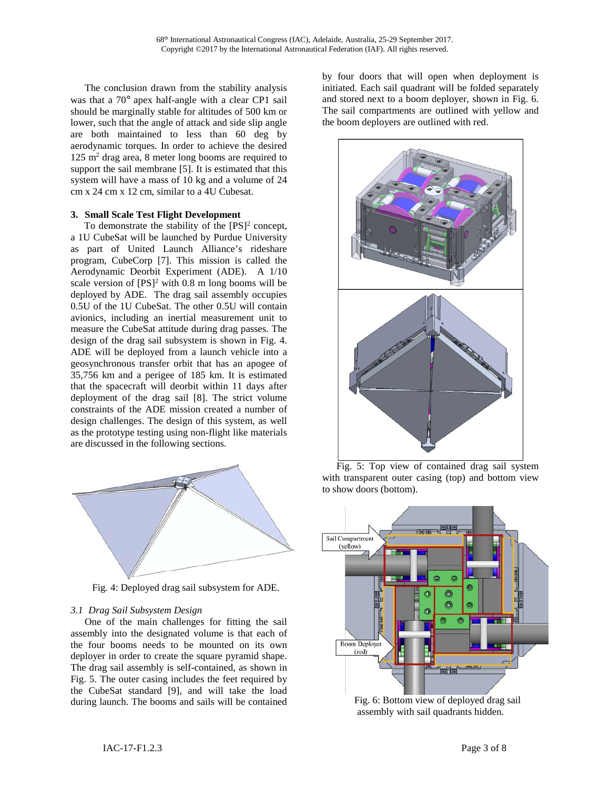The conclusion drawn from the stability analysis was that a 70° apex half-angle with a clear CP1 sail should be marginally stable for altitudes of 500 km or lower, such that the angle of attack and side slip angle are both maintained to less than 60 deg by aerodynamic torques. In order to achieve the desired  $125 \text{ m}^2$  drag area, 8 meter long booms are required to support the sail membrane [5]. It is estimated that this system will have a mass of 10 kg and a volume of 24 cm x 24 cm x 12 cm, similar to a 4U Cubesat.

### **3. Small Scale Test Flight Development**

To demonstrate the stability of the  $[PS]^2$  concept, a 1U CubeSat will be launched by Purdue University as part of United Launch Alliance's rideshare program, CubeCorp [7]. This mission is called the Aerodynamic Deorbit Experiment (ADE). A 1/10 scale version of  $[PS]^2$  with 0.8 m long booms will be deployed by ADE. The drag sail assembly occupies 0.5U of the 1U CubeSat. The other 0.5U will contain avionics, including an inertial measurement unit to measure the CubeSat attitude during drag passes. The design of the drag sail subsystem is shown in [Fig. 4.](#page-2-0) ADE will be deployed from a launch vehicle into a geosynchronous transfer orbit that has an apogee of 35,756 km and a perigee of 185 km. It is estimated that the spacecraft will deorbit within 11 days after deployment of the drag sail [8]. The strict volume constraints of the ADE mission created a number of design challenges. The design of this system, as well as the prototype testing using non-flight like materials are discussed in the following sections.



<span id="page-2-0"></span>Fig. 4: Deployed drag sail subsystem for ADE.

## *3.1 Drag Sail Subsystem Design*

One of the main challenges for fitting the sail assembly into the designated volume is that each of the four booms needs to be mounted on its own deployer in order to create the square pyramid shape. The drag sail assembly is self-contained, as shown in [Fig. 5.](#page-2-1) The outer casing includes the feet required by the CubeSat standard [9], and will take the load during launch. The booms and sails will be contained

by four doors that will open when deployment is initiated. Each sail quadrant will be folded separately and stored next to a boom deployer, shown in [Fig. 6.](#page-2-2) The sail compartments are outlined with yellow and the boom deployers are outlined with red.



<span id="page-2-1"></span>Fig. 5: Top view of contained drag sail system with transparent outer casing (top) and bottom view to show doors (bottom).



<span id="page-2-2"></span>Fig. 6: Bottom view of deployed drag sail assembly with sail quadrants hidden.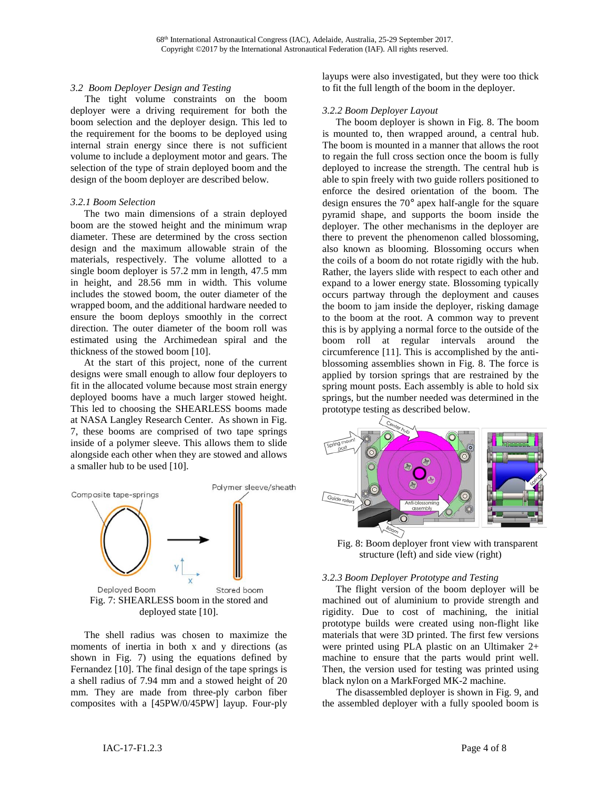#### *3.2 Boom Deployer Design and Testing*

The tight volume constraints on the boom deployer were a driving requirement for both the boom selection and the deployer design. This led to the requirement for the booms to be deployed using internal strain energy since there is not sufficient volume to include a deployment motor and gears. The selection of the type of strain deployed boom and the design of the boom deployer are described below.

### *3.2.1 Boom Selection*

The two main dimensions of a strain deployed boom are the stowed height and the minimum wrap diameter. These are determined by the cross section design and the maximum allowable strain of the materials, respectively. The volume allotted to a single boom deployer is 57.2 mm in length, 47.5 mm in height, and 28.56 mm in width. This volume includes the stowed boom, the outer diameter of the wrapped boom, and the additional hardware needed to ensure the boom deploys smoothly in the correct direction. The outer diameter of the boom roll was estimated using the Archimedean spiral and the thickness of the stowed boom [10].

At the start of this project, none of the current designs were small enough to allow four deployers to fit in the allocated volume because most strain energy deployed booms have a much larger stowed height. This led to choosing the SHEARLESS booms made at NASA Langley Research Center. As shown in [Fig.](#page-3-0)  [7,](#page-3-0) these booms are comprised of two tape springs inside of a polymer sleeve. This allows them to slide alongside each other when they are stowed and allows a smaller hub to be used [10].



<span id="page-3-0"></span>The shell radius was chosen to maximize the moments of inertia in both x and y directions (as shown in [Fig. 7\)](#page-3-0) using the equations defined by Fernandez [10]. The final design of the tape springs is a shell radius of 7.94 mm and a stowed height of 20 mm. They are made from three-ply carbon fiber composites with a [45PW/0/45PW] layup. Four-ply

layups were also investigated, but they were too thick to fit the full length of the boom in the deployer.

### *3.2.2 Boom Deployer Layout*

The boom deployer is shown in [Fig. 8.](#page-3-1) The boom is mounted to, then wrapped around, a central hub. The boom is mounted in a manner that allows the root to regain the full cross section once the boom is fully deployed to increase the strength. The central hub is able to spin freely with two guide rollers positioned to enforce the desired orientation of the boom. The design ensures the 70° apex half-angle for the square pyramid shape, and supports the boom inside the deployer. The other mechanisms in the deployer are there to prevent the phenomenon called blossoming, also known as blooming. Blossoming occurs when the coils of a boom do not rotate rigidly with the hub. Rather, the layers slide with respect to each other and expand to a lower energy state. Blossoming typically occurs partway through the deployment and causes the boom to jam inside the deployer, risking damage to the boom at the root. A common way to prevent this is by applying a normal force to the outside of the boom roll at regular intervals around the circumference [11]. This is accomplished by the antiblossoming assemblies shown in [Fig. 8.](#page-3-1) The force is applied by torsion springs that are restrained by the spring mount posts. Each assembly is able to hold six springs, but the number needed was determined in the prototype testing as described below.



<span id="page-3-1"></span>Fig. 8: Boom deployer front view with transparent structure (left) and side view (right)

#### *3.2.3 Boom Deployer Prototype and Testing*

The flight version of the boom deployer will be machined out of aluminium to provide strength and rigidity. Due to cost of machining, the initial prototype builds were created using non-flight like materials that were 3D printed. The first few versions were printed using PLA plastic on an Ultimaker 2+ machine to ensure that the parts would print well. Then, the version used for testing was printed using black nylon on a MarkForged MK-2 machine.

The disassembled deployer is shown in [Fig. 9,](#page-4-0) and the assembled deployer with a fully spooled boom is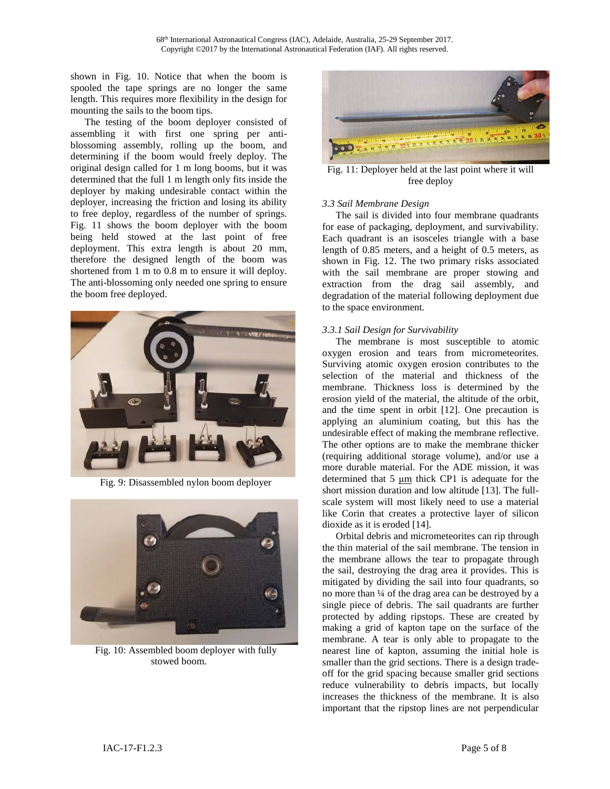shown in [Fig. 10.](#page-4-1) Notice that when the boom is spooled the tape springs are no longer the same length. This requires more flexibility in the design for mounting the sails to the boom tips.

The testing of the boom deployer consisted of assembling it with first one spring per antiblossoming assembly, rolling up the boom, and determining if the boom would freely deploy. The original design called for 1 m long booms, but it was determined that the full 1 m length only fits inside the deployer by making undesirable contact within the deployer, increasing the friction and losing its ability to free deploy, regardless of the number of springs. [Fig. 11](#page-4-2) shows the boom deployer with the boom being held stowed at the last point of free deployment. This extra length is about 20 mm, therefore the designed length of the boom was shortened from 1 m to 0.8 m to ensure it will deploy. The anti-blossoming only needed one spring to ensure the boom free deployed.



Fig. 9: Disassembled nylon boom deployer

<span id="page-4-1"></span><span id="page-4-0"></span>

Fig. 10: Assembled boom deployer with fully stowed boom.



Fig. 11: Deployer held at the last point where it will free deploy

### <span id="page-4-2"></span>*3.3 Sail Membrane Design*

The sail is divided into four membrane quadrants for ease of packaging, deployment, and survivability. Each quadrant is an isosceles triangle with a base length of 0.85 meters, and a height of 0.5 meters, as shown in [Fig. 12.](#page-5-0) The two primary risks associated with the sail membrane are proper stowing and extraction from the drag sail assembly, and degradation of the material following deployment due to the space environment.

## *3.3.1 Sail Design for Survivability*

The membrane is most susceptible to atomic oxygen erosion and tears from micrometeorites. Surviving atomic oxygen erosion contributes to the selection of the material and thickness of the membrane. Thickness loss is determined by the erosion yield of the material, the altitude of the orbit, and the time spent in orbit [12]. One precaution is applying an aluminium coating, but this has the undesirable effect of making the membrane reflective. The other options are to make the membrane thicker (requiring additional storage volume), and/or use a more durable material. For the ADE mission, it was determined that 5 μm thick CP1 is adequate for the short mission duration and low altitude [13]. The fullscale system will most likely need to use a material like Corin that creates a protective layer of silicon dioxide as it is eroded [14].

Orbital debris and micrometeorites can rip through the thin material of the sail membrane. The tension in the membrane allows the tear to propagate through the sail, destroying the drag area it provides. This is mitigated by dividing the sail into four quadrants, so no more than ¼ of the drag area can be destroyed by a single piece of debris. The sail quadrants are further protected by adding ripstops. These are created by making a grid of kapton tape on the surface of the membrane. A tear is only able to propagate to the nearest line of kapton, assuming the initial hole is smaller than the grid sections. There is a design tradeoff for the grid spacing because smaller grid sections reduce vulnerability to debris impacts, but locally increases the thickness of the membrane. It is also important that the ripstop lines are not perpendicular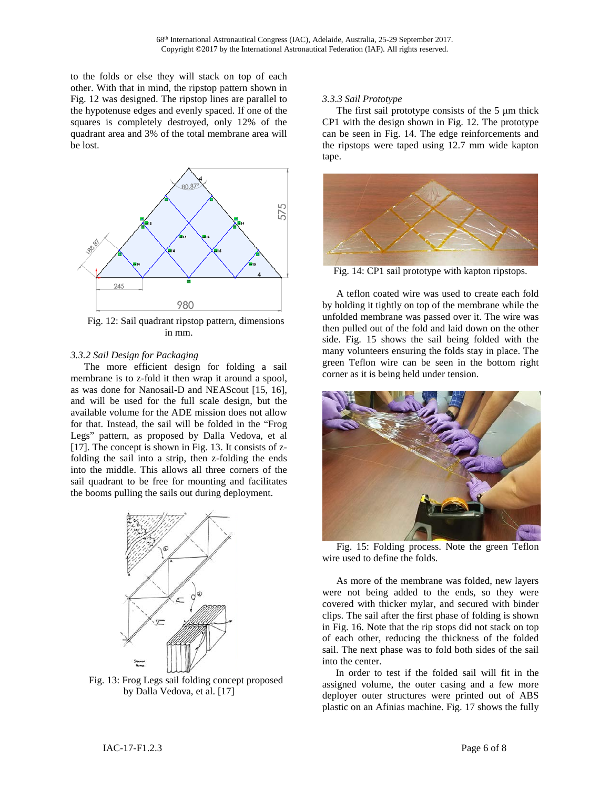to the folds or else they will stack on top of each other. With that in mind, the ripstop pattern shown in [Fig. 12](#page-5-0) was designed. The ripstop lines are parallel to the hypotenuse edges and evenly spaced. If one of the squares is completely destroyed, only 12% of the quadrant area and 3% of the total membrane area will be lost.



<span id="page-5-0"></span>Fig. 12: Sail quadrant ripstop pattern, dimensions in mm.

## *3.3.2 Sail Design for Packaging*

The more efficient design for folding a sail membrane is to z-fold it then wrap it around a spool, as was done for Nanosail-D and NEAScout [15, 16], and will be used for the full scale design, but the available volume for the ADE mission does not allow for that. Instead, the sail will be folded in the "Frog Legs" pattern, as proposed by Dalla Vedova, et al [17]. The concept is shown in [Fig. 13.](#page-5-1) It consists of zfolding the sail into a strip, then z-folding the ends into the middle. This allows all three corners of the sail quadrant to be free for mounting and facilitates the booms pulling the sails out during deployment.



<span id="page-5-1"></span>Fig. 13: Frog Legs sail folding concept proposed by Dalla Vedova, et al. [17]

### *3.3.3 Sail Prototype*

The first sail prototype consists of the 5 μm thick CP1 with the design shown in [Fig. 12.](#page-5-0) The prototype can be seen in [Fig. 14.](#page-5-2) The edge reinforcements and the ripstops were taped using 12.7 mm wide kapton tape.



Fig. 14: CP1 sail prototype with kapton ripstops.

<span id="page-5-2"></span>A teflon coated wire was used to create each fold by holding it tightly on top of the membrane while the unfolded membrane was passed over it. The wire was then pulled out of the fold and laid down on the other side. [Fig. 15](#page-5-3) shows the sail being folded with the many volunteers ensuring the folds stay in place. The green Teflon wire can be seen in the bottom right corner as it is being held under tension.



Fig. 15: Folding process. Note the green Teflon wire used to define the folds.

<span id="page-5-3"></span>As more of the membrane was folded, new layers were not being added to the ends, so they were covered with thicker mylar, and secured with binder clips. The sail after the first phase of folding is shown in [Fig. 16.](#page-6-0) Note that the rip stops did not stack on top of each other, reducing the thickness of the folded sail. The next phase was to fold both sides of the sail into the center.

In order to test if the folded sail will fit in the assigned volume, the outer casing and a few more deployer outer structures were printed out of ABS plastic on an Afinias machine. [Fig. 17](#page-6-1) shows the fully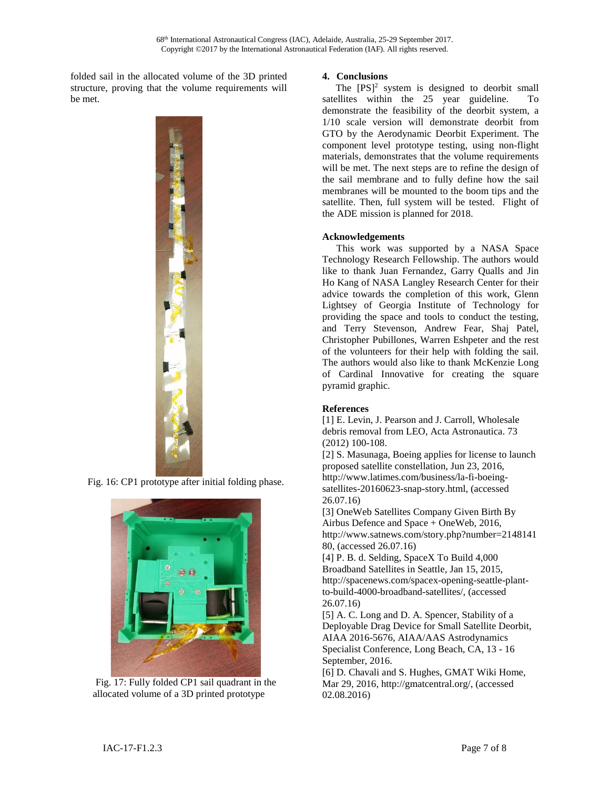folded sail in the allocated volume of the 3D printed structure, proving that the volume requirements will be met.



<span id="page-6-0"></span>Fig. 16: CP1 prototype after initial folding phase.

<span id="page-6-1"></span>

Fig. 17: Fully folded CP1 sail quadrant in the allocated volume of a 3D printed prototype

# **4. Conclusions**

The  $[PS]^2$  system is designed to deorbit small satellites within the 25 year guideline. To demonstrate the feasibility of the deorbit system, a 1/10 scale version will demonstrate deorbit from GTO by the Aerodynamic Deorbit Experiment. The component level prototype testing, using non-flight materials, demonstrates that the volume requirements will be met. The next steps are to refine the design of the sail membrane and to fully define how the sail membranes will be mounted to the boom tips and the satellite. Then, full system will be tested. Flight of the ADE mission is planned for 2018.

# **Acknowledgements**

This work was supported by a NASA Space Technology Research Fellowship. The authors would like to thank Juan Fernandez, Garry Qualls and Jin Ho Kang of NASA Langley Research Center for their advice towards the completion of this work, Glenn Lightsey of Georgia Institute of Technology for providing the space and tools to conduct the testing, and Terry Stevenson, Andrew Fear, Shaj Patel, Christopher Pubillones, Warren Eshpeter and the rest of the volunteers for their help with folding the sail. The authors would also like to thank McKenzie Long of Cardinal Innovative for creating the square pyramid graphic.

## **References**

[1] E. Levin, J. Pearson and J. Carroll, Wholesale debris removal from LEO, Acta Astronautica. 73 (2012) 100-108.

[2] S. Masunaga, Boeing applies for license to launch proposed satellite constellation, Jun 23, 2016, http://www.latimes.com/business/la-fi-boeingsatellites-20160623-snap-story.html, (accessed 26.07.16)

[3] OneWeb Satellites Company Given Birth By Airbus Defence and Space + OneWeb, 2016, http://www.satnews.com/story.php?number=2148141 80, (accessed 26.07.16)

[4] P. B. d. Selding, SpaceX To Build 4,000 Broadband Satellites in Seattle, Jan 15, 2015, http://spacenews.com/spacex-opening-seattle-plantto-build-4000-broadband-satellites/, (accessed 26.07.16)

[5] A. C. Long and D. A. Spencer, Stability of a Deployable Drag Device for Small Satellite Deorbit, AIAA 2016-5676, AIAA/AAS Astrodynamics Specialist Conference, Long Beach, CA, 13 - 16 September, 2016.

[6] D. Chavali and S. Hughes, GMAT Wiki Home, Mar 29, 2016, http://gmatcentral.org/, (accessed 02.08.2016)